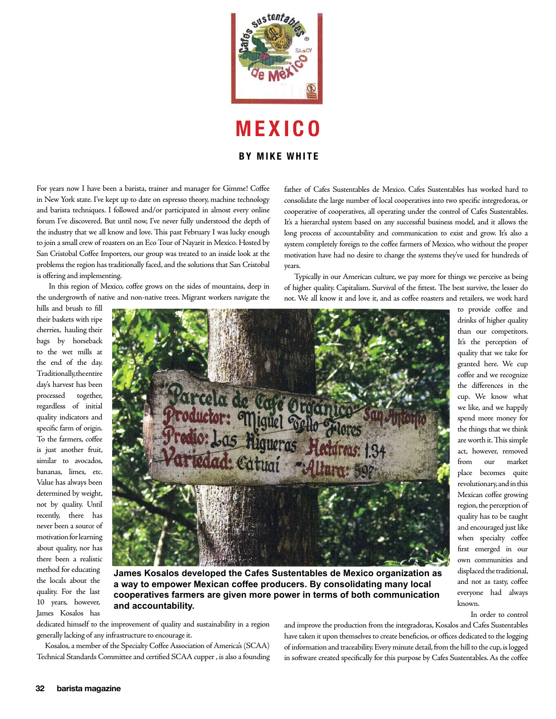

**M E X I C O**

## **BY MIKE WHITE**

For years now I have been a barista, trainer and manager for Gimme! Coffee in New York state. I've kept up to date on espresso theory, machine technology and barista techniques. I followed and/or participated in almost every online forum I've discovered. But until now, I've never fully understood the depth of the industry that we all know and love. This past February I was lucky enough to join a small crew of roasters on an Eco Tour of Nayarit in Mexico. Hosted by San Cristobal Coffee Importers, our group was treated to an inside look at the problems the region has traditionally faced, and the solutions that San Cristobal is offering and implementing.

 In this region of Mexico, coffee grows on the sides of mountains, deep in the undergrowth of native and non-native trees. Migrant workers navigate the father of Cafes Sustentables de Mexico. Cafes Sustentables has worked hard to consolidate the large number of local cooperatives into two specific integredoras, or cooperative of cooperatives, all operating under the control of Cafes Sustentables. It's a hierarchal system based on any successful business model, and it allows the long process of accountability and communication to exist and grow. It's also a system completely foreign to the coffee farmers of Mexico, who without the proper motivation have had no desire to change the systems they've used for hundreds of years.

 Typically in our American culture, we pay more for things we perceive as being of higher quality. Capitalism. Survival of the fittest. The best survive, the lesser do not. We all know it and love it, and as coffee roasters and retailers, we work hard

hills and brush to fill their baskets with ripe cherries, hauling their bags by horseback to the wet mills at the end of the day. Traditionally, the entire day's harvest has been processed together, regardless of initial quality indicators and specific farm of origin. To the farmers, coffee is just another fruit, similar to avocados, bananas, limes, etc. Value has always been determined by weight, not by quality. Until recently, there has never been a source of motivation for learning about quality, nor has there been a realistic method for educating the locals about the quality. For the last 10 years, however, James Kosalos has



**James Kosalos developed the Cafes Sustentables de Mexico organization as a way to empower Mexican coffee producers. By consolidating many local cooperatives farmers are given more power in terms of both communication and accountability.**

dedicated himself to the improvement of quality and sustainability in a region generally lacking of any infrastructure to encourage it.

 Kosalos, a member of the Specialty Coffee Association of America's (SCAA) Technical Standards Committee and certified SCAA cupper , is also a founding and improve the production from the integradoras, Kosalos and Cafes Sustentables have taken it upon themselves to create beneficios, or offices dedicated to the logging of information and traceability. Every minute detail, from the hill to the cup, is logged in software created specifically for this purpose by Cafes Sustentables. As the coffee

It's the perception of quality that we take for granted here. We cup coffee and we recognize the differences in the cup. We know what we like, and we happily spend more money for the things that we think are worth it. This simple act, however, removed from our market place becomes quite revolutionary, and in this Mexican coffee growing region, the perception of quality has to be taught and encouraged just like when specialty coffee first emerged in our own communities and displaced the traditional, and not as tasty, coffee everyone had always known. In order to control

to provide coffee and drinks of higher quality than our competitors.